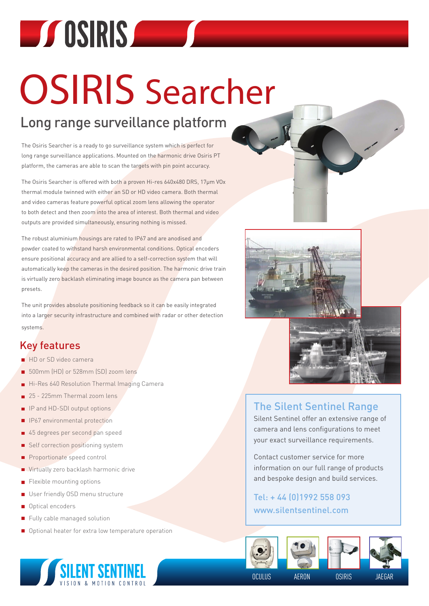# **EXPOSIRIS AND SETTING CONTINUES**

## OSIRIS Searcher

### Long range surveillance platform

The Osiris Searcher is a ready to go surveillance system which is perfect for long range surveillance applications. Mounted on the harmonic drive Osiris PT platform, the cameras are able to scan the targets with pin point accuracy.

The Osiris Searcher is offered with both a proven Hi-res 640x480 DRS, 17μm VOx thermal module twinned with either an SD or HD video camera. Both thermal and video cameras feature powerful optical zoom lens allowing the operator to both detect and then zoom into the area of interest. Both thermal and video outputs are provided simultaneously, ensuring nothing is missed.

The robust aluminium housings are rated to IP67 and are anodised and powder coated to withstand harsh environmental conditions. Optical encoders ensure positional accuracy and are allied to a self-correction system that will automatically keep the cameras in the desired position. The harmonic drive train is virtually zero backlash eliminating image bounce as the camera pan between presets.

The unit provides absolute positioning feedback so it can be easily integrated into a larger security infrastructure and combined with radar or other detection systems.

#### Key features

- HD or SD video camera
- 500mm (HD) or 528mm (SD) zoom lens
- Hi-Res 640 Resolution Thermal Imaging Camera
- 25 225mm Thermal zoom lens
- **I** IP and HD-SDI output options
- **I** IP67 environmental protection
- 45 degrees per second pan speed
- Self correction positioning system
- Proportionate speed control
- Virtually zero backlash harmonic drive
- $\blacksquare$  Flexible mounting options
- User friendly OSD menu structure
- Optical encoders
- Fully cable managed solution m.
- Optional heater for extra low temperature operation





#### The Silent Sentinel Range

Silent Sentinel offer an extensive range of camera and lens configurations to meet your exact surveillance requirements.

Contact customer service for more information on our full range of products and bespoke design and build services.

Tel: + 44 (0)1992 558 093 www.silentsentinel.com









OCULUS AERON OSIRIS JAEGAR